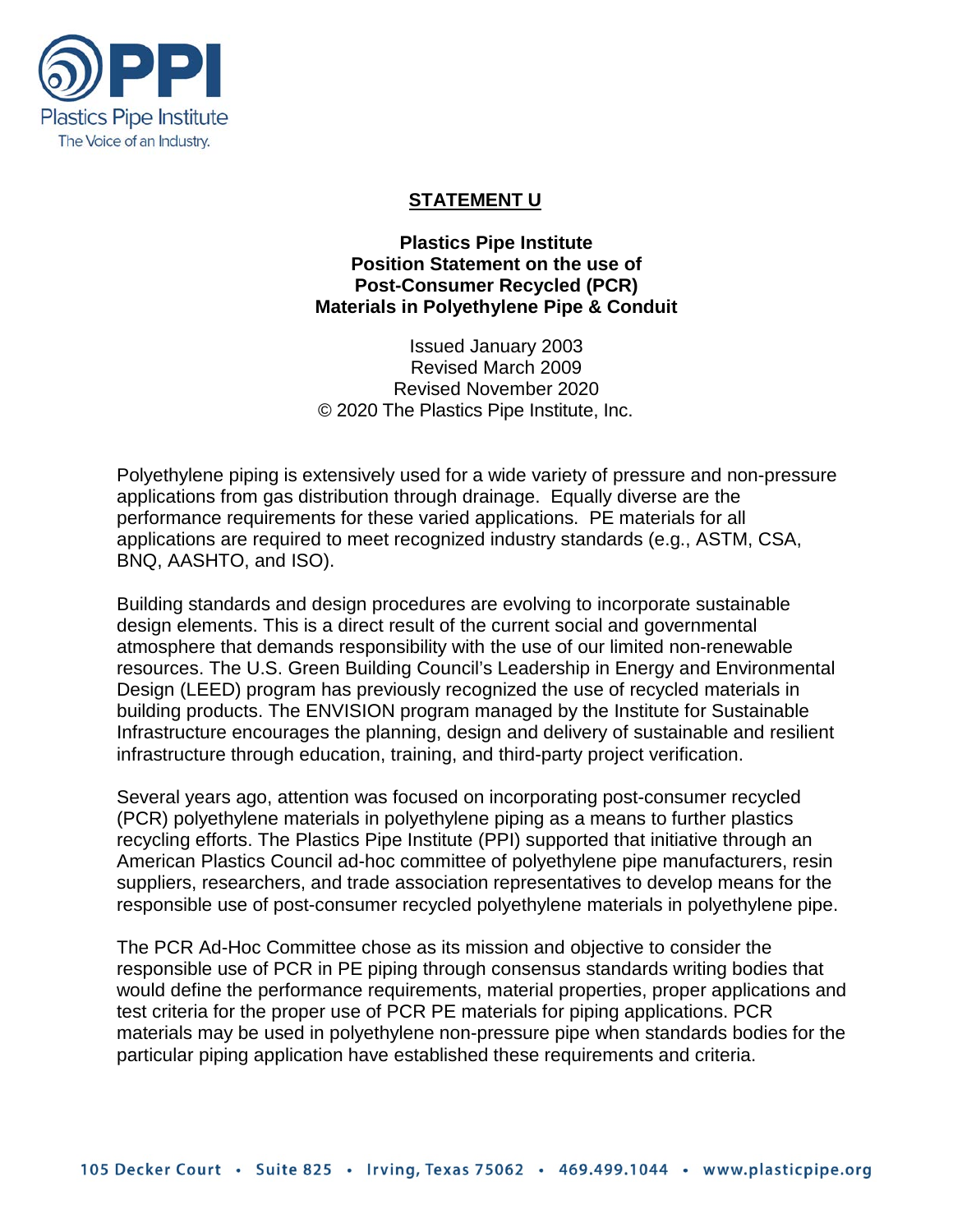

### **STATEMENT U**

**Plastics Pipe Institute Position Statement on the use of Post-Consumer Recycled (PCR) Materials in Polyethylene Pipe & Conduit**

Issued January 2003 Revised March 2009 Revised November 2020 © 2020 The Plastics Pipe Institute, Inc.

Polyethylene piping is extensively used for a wide variety of pressure and non-pressure applications from gas distribution through drainage. Equally diverse are the performance requirements for these varied applications. PE materials for all applications are required to meet recognized industry standards (e.g., ASTM, CSA, BNQ, AASHTO, and ISO).

Building standards and design procedures are evolving to incorporate sustainable design elements. This is a direct result of the current social and governmental atmosphere that demands responsibility with the use of our limited non-renewable resources. The U.S. Green Building Council's Leadership in Energy and Environmental Design (LEED) program has previously recognized the use of recycled materials in building products. The ENVISION program managed by the Institute for Sustainable Infrastructure encourages the planning, design and delivery of sustainable and resilient infrastructure through education, training, and third-party project verification.

Several years ago, attention was focused on incorporating post-consumer recycled (PCR) polyethylene materials in polyethylene piping as a means to further plastics recycling efforts. The Plastics Pipe Institute (PPI) supported that initiative through an American Plastics Council ad-hoc committee of polyethylene pipe manufacturers, resin suppliers, researchers, and trade association representatives to develop means for the responsible use of post-consumer recycled polyethylene materials in polyethylene pipe.

The PCR Ad-Hoc Committee chose as its mission and objective to consider the responsible use of PCR in PE piping through consensus standards writing bodies that would define the performance requirements, material properties, proper applications and test criteria for the proper use of PCR PE materials for piping applications. PCR materials may be used in polyethylene non-pressure pipe when standards bodies for the particular piping application have established these requirements and criteria.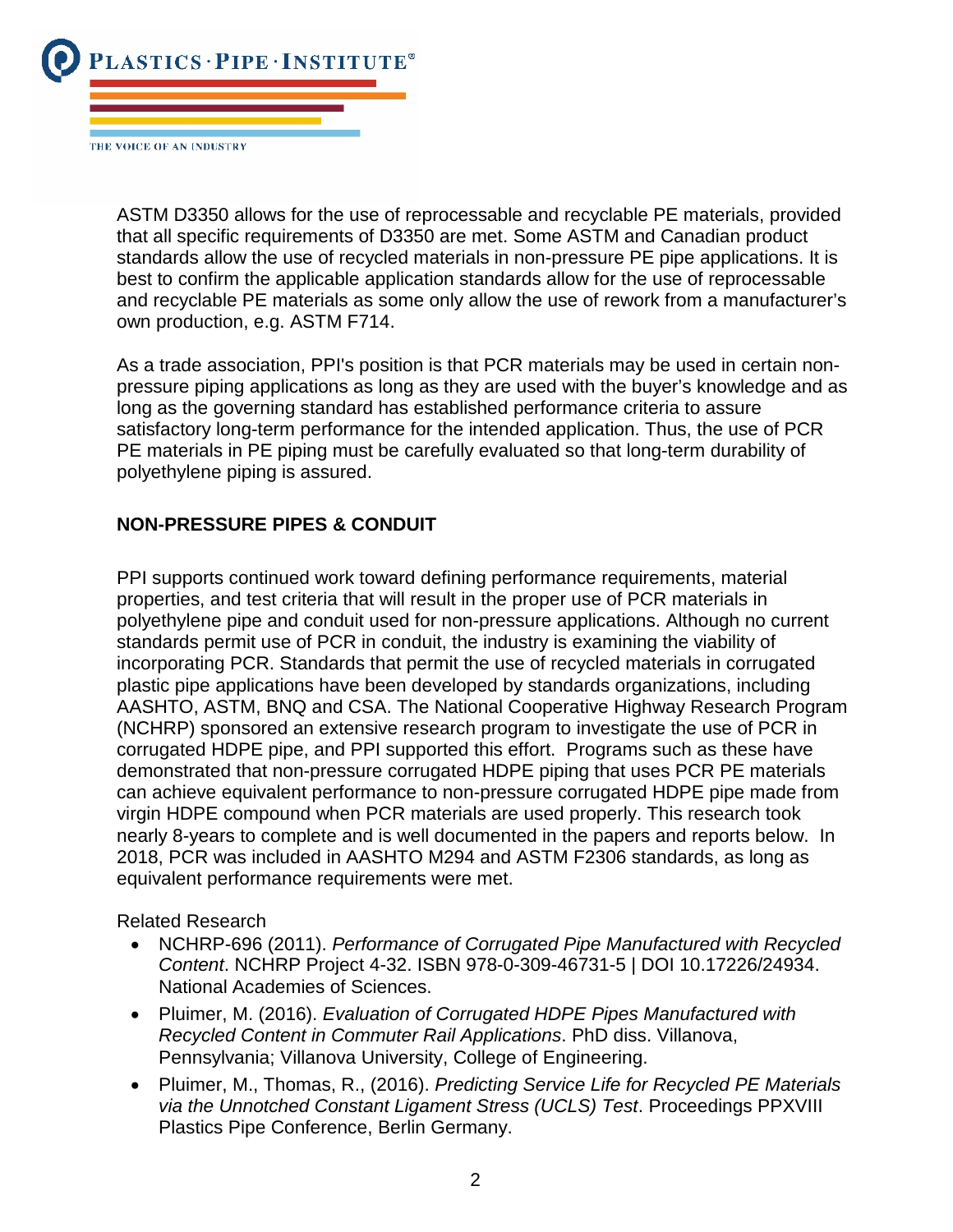

THE VOICE OF AN INDUSTRY

ASTM D3350 allows for the use of reprocessable and recyclable PE materials, provided that all specific requirements of D3350 are met. Some ASTM and Canadian product standards allow the use of recycled materials in non-pressure PE pipe applications. It is best to confirm the applicable application standards allow for the use of reprocessable and recyclable PE materials as some only allow the use of rework from a manufacturer's own production, e.g. ASTM F714.

As a trade association, PPI's position is that PCR materials may be used in certain nonpressure piping applications as long as they are used with the buyer's knowledge and as long as the governing standard has established performance criteria to assure satisfactory long-term performance for the intended application. Thus, the use of PCR PE materials in PE piping must be carefully evaluated so that long-term durability of polyethylene piping is assured.

### **NON-PRESSURE PIPES & CONDUIT**

PPI supports continued work toward defining performance requirements, material properties, and test criteria that will result in the proper use of PCR materials in polyethylene pipe and conduit used for non-pressure applications. Although no current standards permit use of PCR in conduit, the industry is examining the viability of incorporating PCR. Standards that permit the use of recycled materials in corrugated plastic pipe applications have been developed by standards organizations, including AASHTO, ASTM, BNQ and CSA. The National Cooperative Highway Research Program (NCHRP) sponsored an extensive research program to investigate the use of PCR in corrugated HDPE pipe, and PPI supported this effort. Programs such as these have demonstrated that non-pressure corrugated HDPE piping that uses PCR PE materials can achieve equivalent performance to non-pressure corrugated HDPE pipe made from virgin HDPE compound when PCR materials are used properly. This research took nearly 8-years to complete and is well documented in the papers and reports below. In 2018, PCR was included in AASHTO M294 and ASTM F2306 standards, as long as equivalent performance requirements were met.

Related Research

- NCHRP-696 (2011). *Performance of Corrugated Pipe Manufactured with Recycled Content*. NCHRP Project 4-32. ISBN 978-0-309-46731-5 | DOI 10.17226/24934. National Academies of Sciences.
- Pluimer, M. (2016). *Evaluation of Corrugated HDPE Pipes Manufactured with Recycled Content in Commuter Rail Applications*. PhD diss. Villanova, Pennsylvania; Villanova University, College of Engineering.
- Pluimer, M., Thomas, R., (2016). *Predicting Service Life for Recycled PE Materials via the Unnotched Constant Ligament Stress (UCLS) Test*. Proceedings PPXVIII Plastics Pipe Conference, Berlin Germany.